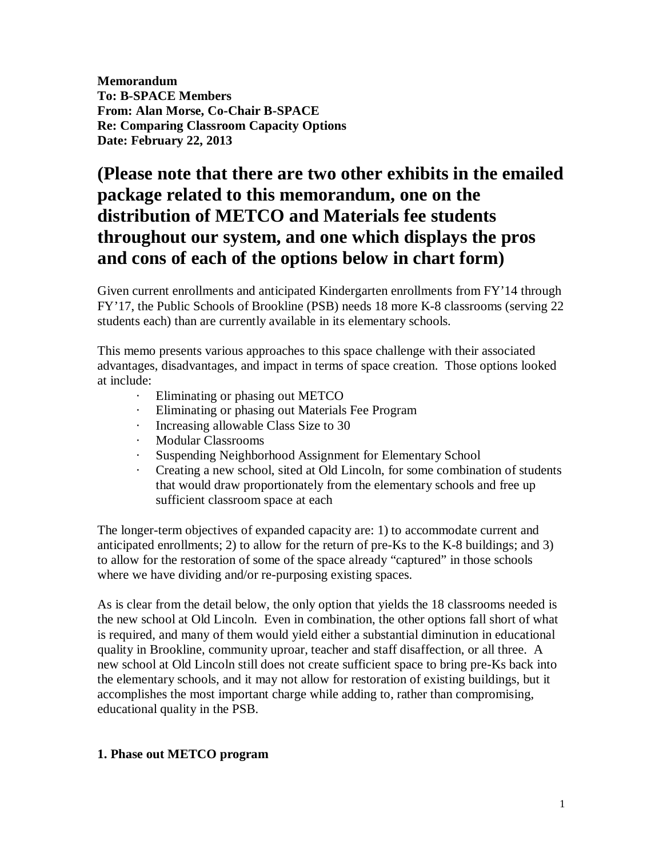**Memorandum To: B-SPACE Members From: Alan Morse, Co-Chair B-SPACE Re: Comparing Classroom Capacity Options Date: February 22, 2013**

# **(Please note that there are two other exhibits in the emailed package related to this memorandum, one on the distribution of METCO and Materials fee students throughout our system, and one which displays the pros and cons of each of the options below in chart form)**

Given current enrollments and anticipated Kindergarten enrollments from FY'14 through FY'17, the Public Schools of Brookline (PSB) needs 18 more K-8 classrooms (serving 22 students each) than are currently available in its elementary schools.

This memo presents various approaches to this space challenge with their associated advantages, disadvantages, and impact in terms of space creation. Those options looked at include:

- · Eliminating or phasing out METCO
- · Eliminating or phasing out Materials Fee Program
- · Increasing allowable Class Size to 30
- · Modular Classrooms
- · Suspending Neighborhood Assignment for Elementary School
- · Creating a new school, sited at Old Lincoln, for some combination of students that would draw proportionately from the elementary schools and free up sufficient classroom space at each

The longer-term objectives of expanded capacity are: 1) to accommodate current and anticipated enrollments; 2) to allow for the return of pre-Ks to the K-8 buildings; and 3) to allow for the restoration of some of the space already "captured" in those schools where we have dividing and/or re-purposing existing spaces.

As is clear from the detail below, the only option that yields the 18 classrooms needed is the new school at Old Lincoln. Even in combination, the other options fall short of what is required, and many of them would yield either a substantial diminution in educational quality in Brookline, community uproar, teacher and staff disaffection, or all three. A new school at Old Lincoln still does not create sufficient space to bring pre-Ks back into the elementary schools, and it may not allow for restoration of existing buildings, but it accomplishes the most important charge while adding to, rather than compromising, educational quality in the PSB.

#### **1. Phase out METCO program**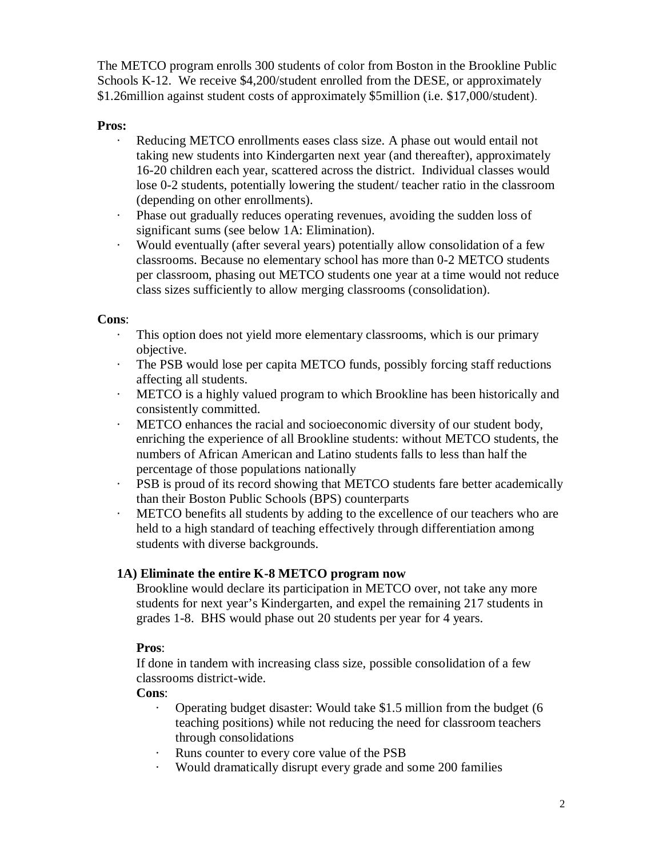The METCO program enrolls 300 students of color from Boston in the Brookline Public Schools K-12. We receive \$4,200/student enrolled from the DESE, or approximately \$1.26million against student costs of approximately \$5million (i.e. \$17,000/student).

## **Pros:**

- · Reducing METCO enrollments eases class size. A phase out would entail not taking new students into Kindergarten next year (and thereafter), approximately 16-20 children each year, scattered across the district. Individual classes would lose 0-2 students, potentially lowering the student/ teacher ratio in the classroom (depending on other enrollments).
- · Phase out gradually reduces operating revenues, avoiding the sudden loss of significant sums (see below 1A: Elimination).
- · Would eventually (after several years) potentially allow consolidation of a few classrooms. Because no elementary school has more than 0-2 METCO students per classroom, phasing out METCO students one year at a time would not reduce class sizes sufficiently to allow merging classrooms (consolidation).

### **Cons**:

- · This option does not yield more elementary classrooms, which is our primary objective.
- · The PSB would lose per capita METCO funds, possibly forcing staff reductions affecting all students.
- · METCO is a highly valued program to which Brookline has been historically and consistently committed.
- · METCO enhances the racial and socioeconomic diversity of our student body, enriching the experience of all Brookline students: without METCO students, the numbers of African American and Latino students falls to less than half the percentage of those populations nationally
- · PSB is proud of its record showing that METCO students fare better academically than their Boston Public Schools (BPS) counterparts
- · METCO benefits all students by adding to the excellence of our teachers who are held to a high standard of teaching effectively through differentiation among students with diverse backgrounds.

# **1A) Eliminate the entire K-8 METCO program now**

Brookline would declare its participation in METCO over, not take any more students for next year's Kindergarten, and expel the remaining 217 students in grades 1-8. BHS would phase out 20 students per year for 4 years.

# **Pros**:

If done in tandem with increasing class size, possible consolidation of a few classrooms district-wide.

### **Cons**:

- · Operating budget disaster: Would take \$1.5 million from the budget (6 teaching positions) while not reducing the need for classroom teachers through consolidations
- Runs counter to every core value of the PSB
- · Would dramatically disrupt every grade and some 200 families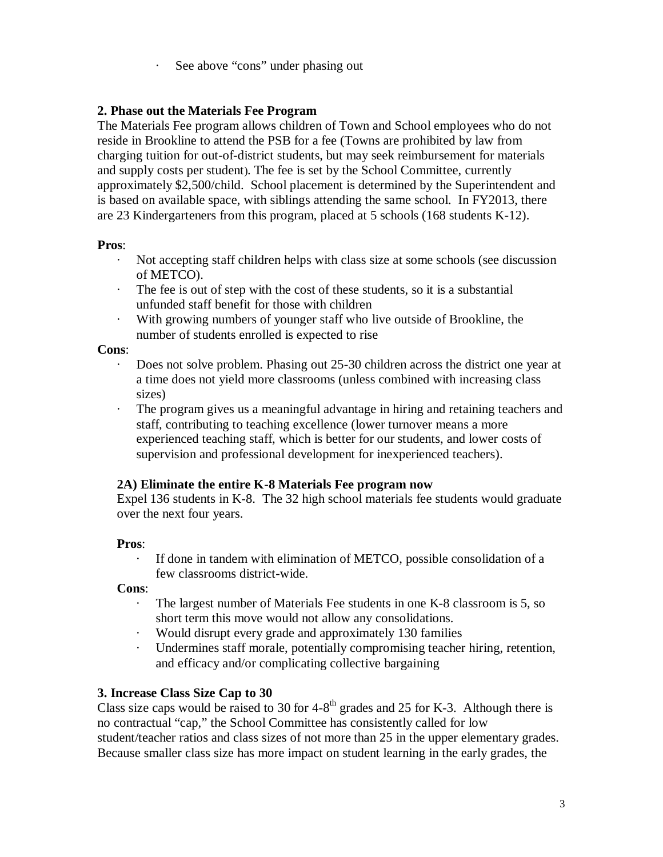· See above "cons" under phasing out

### **2. Phase out the Materials Fee Program**

The Materials Fee program allows children of Town and School employees who do not reside in Brookline to attend the PSB for a fee (Towns are prohibited by law from charging tuition for out-of-district students, but may seek reimbursement for materials and supply costs per student). The fee is set by the School Committee, currently approximately \$2,500/child. School placement is determined by the Superintendent and is based on available space, with siblings attending the same school. In FY2013, there are 23 Kindergarteners from this program, placed at 5 schools (168 students K-12).

#### **Pros**:

- · Not accepting staff children helps with class size at some schools (see discussion of METCO).
- · The fee is out of step with the cost of these students, so it is a substantial unfunded staff benefit for those with children
- · With growing numbers of younger staff who live outside of Brookline, the number of students enrolled is expected to rise

#### **Cons**:

- Does not solve problem. Phasing out 25-30 children across the district one year at a time does not yield more classrooms (unless combined with increasing class sizes)
- The program gives us a meaningful advantage in hiring and retaining teachers and staff, contributing to teaching excellence (lower turnover means a more experienced teaching staff, which is better for our students, and lower costs of supervision and professional development for inexperienced teachers).

### **2A) Eliminate the entire K-8 Materials Fee program now**

Expel 136 students in K-8. The 32 high school materials fee students would graduate over the next four years.

### **Pros**:

If done in tandem with elimination of METCO, possible consolidation of a few classrooms district-wide.

#### **Cons**:

- · The largest number of Materials Fee students in one K-8 classroom is 5, so short term this move would not allow any consolidations.
- · Would disrupt every grade and approximately 130 families
- · Undermines staff morale, potentially compromising teacher hiring, retention, and efficacy and/or complicating collective bargaining

### **3. Increase Class Size Cap to 30**

Class size caps would be raised to 30 for  $4-8<sup>th</sup>$  grades and 25 for K-3. Although there is no contractual "cap," the School Committee has consistently called for low student/teacher ratios and class sizes of not more than 25 in the upper elementary grades. Because smaller class size has more impact on student learning in the early grades, the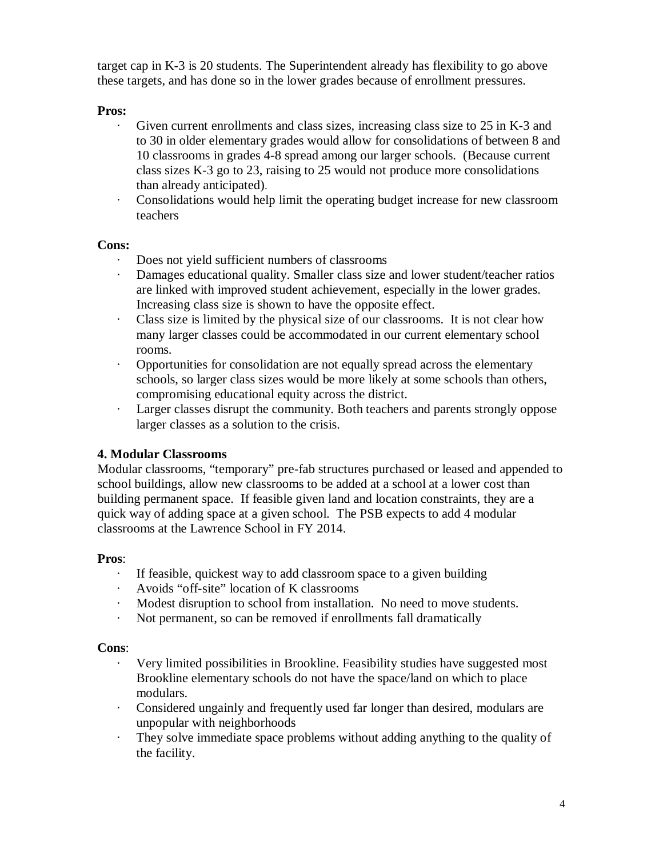target cap in K-3 is 20 students. The Superintendent already has flexibility to go above these targets, and has done so in the lower grades because of enrollment pressures.

### **Pros:**

- Given current enrollments and class sizes, increasing class size to 25 in K-3 and to 30 in older elementary grades would allow for consolidations of between 8 and 10 classrooms in grades 4-8 spread among our larger schools. (Because current class sizes K-3 go to 23, raising to 25 would not produce more consolidations than already anticipated).
- · Consolidations would help limit the operating budget increase for new classroom teachers

### **Cons:**

- · Does not yield sufficient numbers of classrooms
- Damages educational quality. Smaller class size and lower student/teacher ratios are linked with improved student achievement, especially in the lower grades. Increasing class size is shown to have the opposite effect.
- · Class size is limited by the physical size of our classrooms. It is not clear how many larger classes could be accommodated in our current elementary school rooms.
- · Opportunities for consolidation are not equally spread across the elementary schools, so larger class sizes would be more likely at some schools than others, compromising educational equity across the district.
- · Larger classes disrupt the community. Both teachers and parents strongly oppose larger classes as a solution to the crisis.

# **4. Modular Classrooms**

Modular classrooms, "temporary" pre-fab structures purchased or leased and appended to school buildings, allow new classrooms to be added at a school at a lower cost than building permanent space. If feasible given land and location constraints, they are a quick way of adding space at a given school. The PSB expects to add 4 modular classrooms at the Lawrence School in FY 2014.

### **Pros**:

- · If feasible, quickest way to add classroom space to a given building
- · Avoids "off-site" location of K classrooms
- Modest disruption to school from installation. No need to move students.
- · Not permanent, so can be removed if enrollments fall dramatically

### **Cons**:

- · Very limited possibilities in Brookline. Feasibility studies have suggested most Brookline elementary schools do not have the space/land on which to place modulars.
- Considered ungainly and frequently used far longer than desired, modulars are unpopular with neighborhoods
- · They solve immediate space problems without adding anything to the quality of the facility.